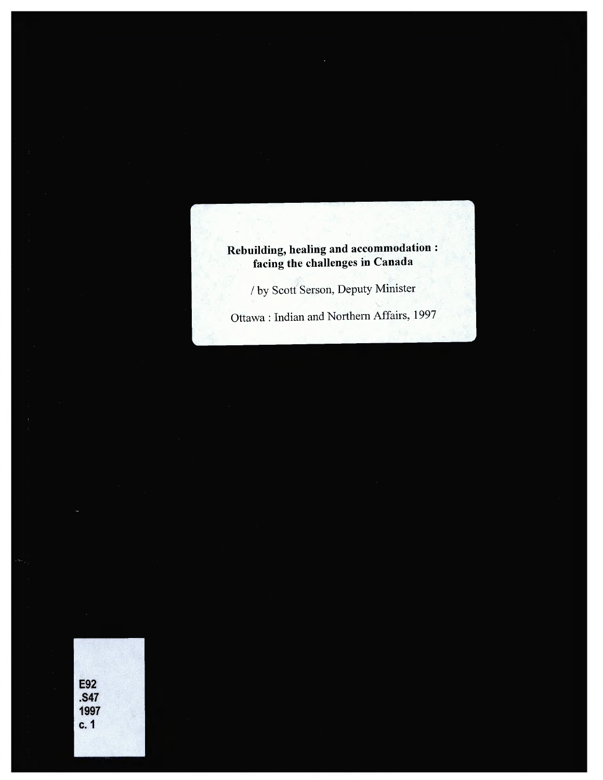**Rebuilding, healing and accommodation : facing the challenges in Canada**

/ by Scott Serson, Deputy Minister

Ottawa : Indian and Northern Affairs, 1997

| <b>E92</b> |  |
|------------|--|
|            |  |
|            |  |
|            |  |
| .S47       |  |
|            |  |
|            |  |
|            |  |
|            |  |
|            |  |
|            |  |
|            |  |
|            |  |
| 1997       |  |
|            |  |
|            |  |
|            |  |
|            |  |
| c. 1       |  |
|            |  |
|            |  |
|            |  |
|            |  |
|            |  |
|            |  |
|            |  |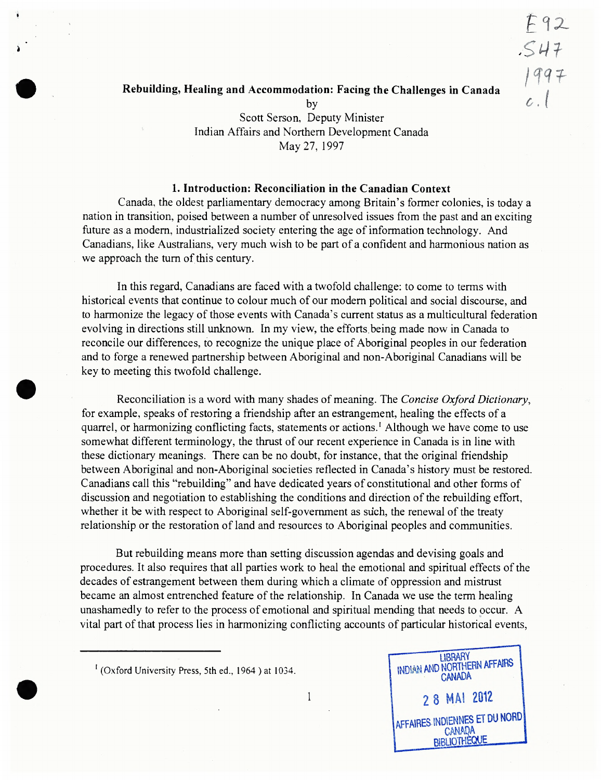# / f\*? 'f **Rebuilding, Healing and Accommodation: Facing the Challenges in Canada**

**Fix**

*SM*

by *C . (* Scott Serson, Deputy Minister Indian Affairs and Northern Development Canada May 27, 1997

#### **1. Introduction: Reconciliation in the Canadian Context**

Canada, the oldest parliamentary democracy among Britain's former colonies, is today a nation in transition, poised between a number of unresolved issues from the past and an exciting future as a modem, industrialized society entering the age of information technology. And Canadians, like Australians, very much wish to be part of a confident and harmonious nation as we approach the turn of this century.

In this regard, Canadians are faced with a twofold challenge: to come to terms with historical events that continue to colour much of our modem political and social discourse, and to harmonize the legacy of those events with Canada's current status as a multicultural federation evolving in directions still unknown. In my view, the efforts being made now in Canada to reconcile our differences, to recognize the unique place of Aboriginal peoples in our federation and to forge a renewed partnership between Aboriginal and non-Aboriginal Canadians will be key to meeting this twofold challenge.

Reconciliation is a word with many shades of meaning. The *Concise Oxford Dictionary*, for example, speaks of restoring a friendship after an estrangement, healing the effects of a quarrel, or harmonizing conflicting facts, statements or actions.<sup>1</sup> Although we have come to use somewhat different terminology, the thrust of our recent experience in Canada is in line with these dictionary meanings. There can be no doubt, for instance, that the original friendship between Aboriginal and non-Aboriginal societies reflected in Canada's history must be restored. Canadians call this "rebuilding" and have dedicated years of constitutional and other forms of discussion and negotiation to establishing the conditions and direction of the rebuilding effort, whether it be with respect to Aboriginal self-government as such, the renewal of the treaty relationship or the restoration of land and resources to Aboriginal peoples and communities.

But rebuilding means more than setting discussion agendas and devising goals and procedures. It also requires that all parties work to heal the emotional and spiritual effects of the decades of estrangement between them during which a climate of oppression and mistrust became an almost entrenched feature of the relationship. In Canada we use the term healing unashamedly to refer to the process of emotional and spiritual mending that needs to occur. A vital part of that process lies in harmonizing conflicting accounts of particular historical events,



1

<sup>1</sup> (Oxford University Press, 5th ed., 1964 ) at 1034.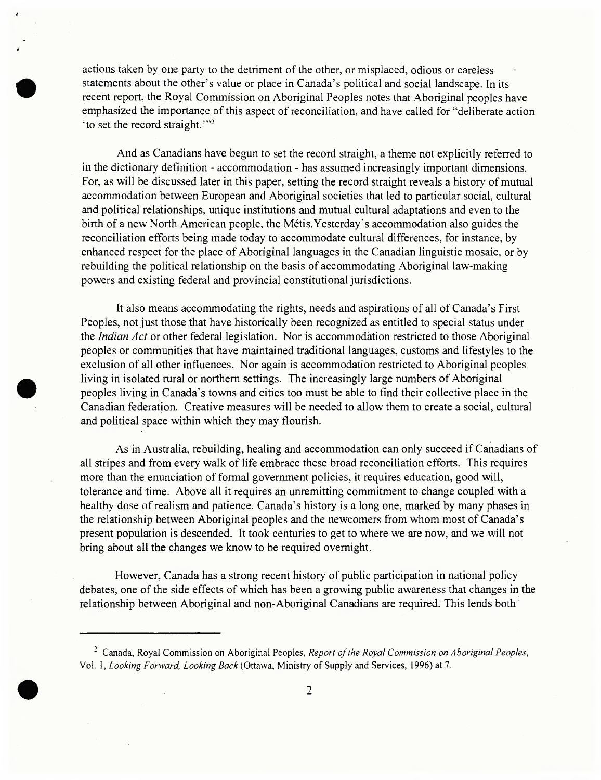actions taken by one party to the detriment of the other, or misplaced, odious or careless statements about the other's value or place in Canada's political and social landscape. In its recent report, the Royal Commission on Aboriginal Peoples notes that Aboriginal peoples have emphasized the importance of this aspect of reconciliation, and have called for "deliberate action 'to set the record straight.'"<sup>2</sup>

And as Canadians have begun to set the record straight, a theme not explicitly referred to in the dictionary definition - accommodation - has assumed increasingly important dimensions. For, as will be discussed later in this paper, setting the record straight reveals a history of mutual accommodation between European and Aboriginal societies that led to particular social, cultural and political relationships, unique institutions and mutual cultural adaptations and even to the birth of a new North American people, the Métis.Yesterday's accommodation also guides the reconciliation efforts being made today to accommodate cultural differences, for instance, by enhanced respect for the place of Aboriginal languages in the Canadian linguistic mosaic, or by rebuilding the political relationship on the basis of accommodating Aboriginal law-making powers and existing federal and provincial constitutional jurisdictions.

It also means accommodating the rights, needs and aspirations of all of Canada's First Peoples, not just those that have historically been recognized as entitled to special status under the *Indian Act* or other federal legislation. Nor is accommodation restricted to those Aboriginal peoples or communities that have maintained traditional languages, customs and lifestyles to the exclusion of all other influences. Nor again is accommodation restricted to Aboriginal peoples living in isolated rural or northern settings. The increasingly large numbers of Aboriginal peoples living in Canada's towns and cities too must be able to find their collective place in the Canadian federation. Creative measures will be needed to allow them to create a social, cultural and political space within which they may flourish.

As in Australia, rebuilding, healing and accommodation can only succeed if Canadians of all stripes and from every walk of life embrace these broad reconciliation efforts. This requires more than the enunciation of formal government policies, it requires education, good will, tolerance and time. Above all it requires an unremitting commitment to change coupled with a healthy dose of realism and patience. Canada's history is a long one, marked by many phases in the relationship between Aboriginal peoples and the newcomers from whom most of Canada's present population is descended. It took centuries to get to where we are now, and we will not bring about all the changes we know to be required overnight.

However, Canada has a strong recent history of public participation in national policy debates, one of the side effects of which has been a growing public awareness that changes in the relationship between Aboriginal and non-Aboriginal Canadians are required. This lends both

<sup>2</sup> Canada, Royal Commission on Aboriginal Peoples, *Report ofthe Royal Commission on Aboriginal Peoples*, Vol. 1, *Looking Forward, Looking Back* (Ottawa, Ministry of Supply and Services, 1996) at 7.

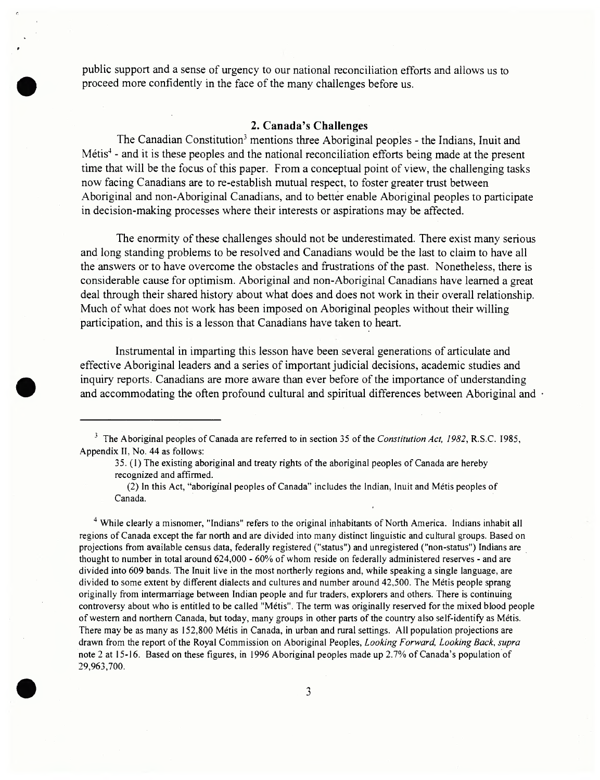public support and a sense of urgency to our national reconciliation efforts and allows us to proceed more confidently in the face of the many challenges before us.

#### **2. Canada's Challenges**

The Canadian Constitution<sup>3</sup> mentions three Aboriginal peoples - the Indians, Inuit and Métis<sup>4</sup> - and it is these peoples and the national reconciliation efforts being made at the present time that will be the focus of this paper. From a conceptual point of view, the challenging tasks now facing Canadians are to re-establish mutual respect, to foster greater trust between Aboriginal and non-Aboriginal Canadians, and to better enable Aboriginal peoples to participate in decision-making processes where their interests or aspirations may be affected.

The enormity of these challenges should not be underestimated. There exist many serious and long standing problems to be resolved and Canadians would be the last to claim to have all the answers or to have overcome the obstacles and frustrations of the past. Nonetheless, there is considerable cause for optimism. Aboriginal and non-Aboriginal Canadians have learned a great deal through their shared history about what does and does not work in their overall relationship. Much of what does not work has been imposed on Aboriginal peoples without their willing participation, and this is a lesson that Canadians have taken to heart.

Instrumental in imparting this lesson have been several generations of articulate and effective Aboriginal leaders and a series of important judicial decisions, academic studies and inquiry reports. Canadians are more aware than ever before of the importance of understanding and accommodating the often profound cultural and spiritual differences between Aboriginal and  $\cdot$ 

35. (1) The existing aboriginal and treaty rights of the aboriginal peoples of Canada are hereby recognized and affirmed.

(2) In this Act, "aboriginal peoples of Canada" includes the Indian, Inuit and Métis peoples of Canada.

<sup>4</sup> While clearly a misnomer, "Indians" refers to the original inhabitants of North America. Indians inhabit all regions ofCanada except the far north and are divided into many distinct linguistic and cultural groups. Based on projections from available census data, federally registered ("status") and unregistered ("non-status") Indians are thought to number in total around 624,000 - 60% of whom reside on federally administered reserves - and are divided into 609 bands. The Inuit live in the most northerly regions and, while speaking a single language, are divided to some extent by different dialects and cultures and number around 42,500. The Métis people sprang originally from intermarriage between Indian people and fur traders, explorers and others. There is continuing controversy about who is entitled to be called "Métis". The term was originally reserved for the mixed blood people of western and northern Canada, but today, many groups in other parts of the country also self-identify as Métis. There may be as many as 152,800 Métis in Canada, in urban and rural settings. All population projections are drawn from the report ofthe Royal Commission on Aboriginal Peoples, *Looking Forward, Looking Back, supra* note 2 at 15-16. Based on these figures, in 1996 Aboriginal peoples made up 2.7% ofCanada's population of 29,963,700.



<sup>&</sup>lt;sup>3</sup> The Aboriginal peoples of Canada are referred to in section 35 of the *Constitution Act, 1982*, R.S.C. 1985, Appendix II, No. 44 as follows: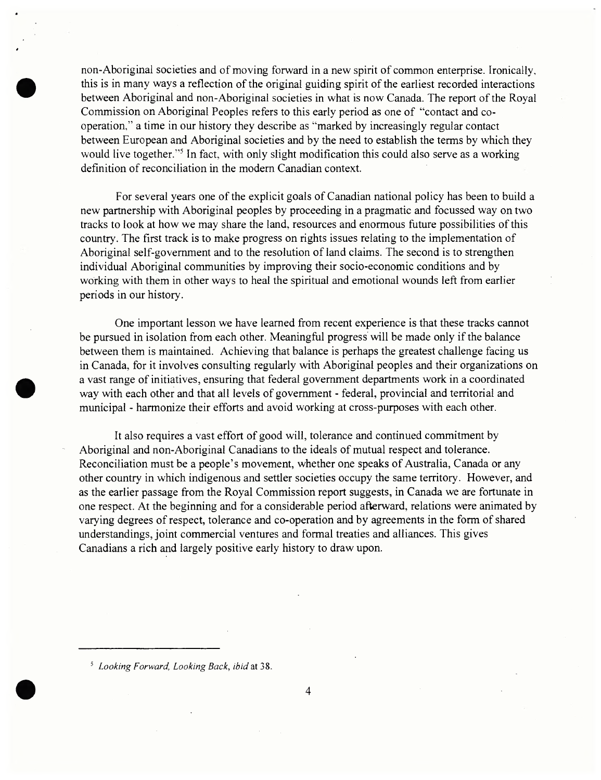non-Aboriginal societies and of moving forward in a new spirit of common enterprise. Ironically, this is in many ways a reflection of the original guiding spirit of the earliest recorded interactions between Aboriginal and non-Aboriginal societies in what is now Canada. The report of the Royal Commission on Aboriginal Peoples refers to this early period as one of "contact and cooperation," a time in our history they describe as "marked by increasingly regular contact between European and Aboriginal societies and by the need to establish the terms by which they would live together."<sup>5</sup> In fact, with only slight modification this could also serve as a working definition of reconciliation in the modem Canadian context.

For several years one of the explicit goals of Canadian national policy has been to build a new partnership with Aboriginal peoples by proceeding in a pragmatic and focussed way on two tracks to look at how we may share the land, resources and enormous future possibilities of this country. The first track is to make progress on rights issues relating to the implementation of Aboriginal self-government and to the resolution of land claims. The second is to strengthen individual Aboriginal communities by improving their socio-economic conditions and by working with them in other ways to heal the spiritual and emotional wounds left from earlier periods in our history.

One important lesson we have learned from recent experience is that these tracks cannot be pursued in isolation from each other. Meaningful progress will be made only if the balance between them is maintained. Achieving that balance is perhaps the greatest challenge facing us in Canada, for it involves consulting regularly with Aboriginal peoples and their organizations on a vast range of initiatives, ensuring that federal government departments work in a coordinated way with each other and that all levels of government - federal, provincial and territorial and municipal - harmonize their efforts and avoid working at cross-purposes with each other.

It also requires a vast effort of good will, tolerance and continued commitment by Aboriginal and non-Aboriginal Canadians to the ideals of mutual respect and tolerance. Reconciliation must be a people's movement, whether one speaks of Australia, Canada or any other country in which indigenous and settler societies occupy the same territory. However, and as the earlier passage from the Royal Commission report suggests, in Canada we are fortunate in one respect. At the beginning and for a considerable period afterward, relations were animated by varying degrees of respect, tolerance and co-operation and by agreements in the form of shared understandings, joint commercial ventures and formal treaties and alliances. This gives Canadians a rich and largely positive early history to draw upon.

<sup>3</sup> *Looking Forward, Looking Back, ibid* at 38.

4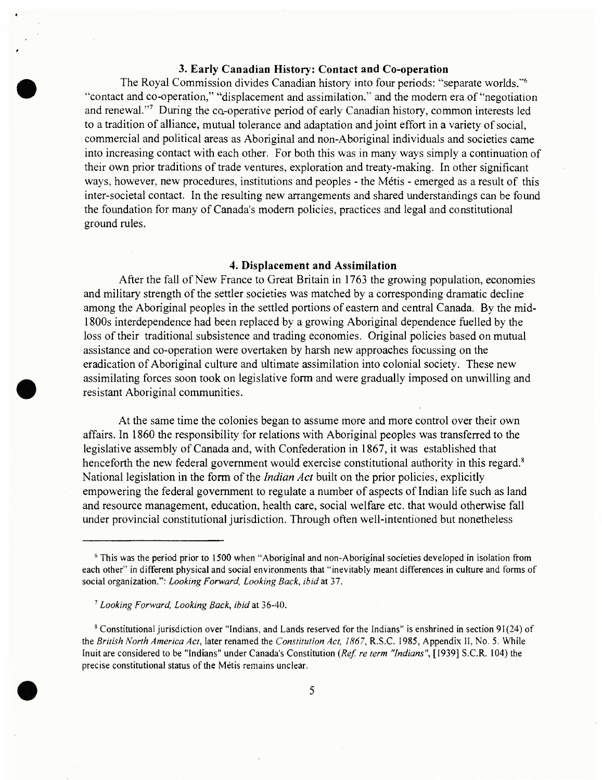## **3. Early Canadian History: Contact and Co-operation**

The Royal Commission divides Canadian history into four periods: "separate worlds,"<sup>6</sup> "contact and co-operation," "displacement and assimilation," and the modem era of "negotiation and renewal."<sup>7</sup> During the ca-operative period of early Canadian history, common interests led to a tradition of alliance, mutual tolerance and adaptation and joint effort in a variety of social, commercial and political areas as Aboriginal and non-Aboriginal individuals and societies came into increasing contact with each other. For both this was in many ways simply a continuation of their own prior traditions of trade ventures, exploration and treaty-making. In other significant ways, however, new procedures, institutions and peoples - the Métis - emerged as a result of this inter-societal contact. In the resulting new arrangements and shared understandings can be found the foundation for many of Canada's modem policies, practices and legal and constitutional ground rules.

#### **4. Displacement and Assimilation**

After the fall of New France to Great Britain in 1763 the growing population, economies and military strength of the settler societies was matched by a corresponding dramatic decline among the Aboriginal peoples in the settled portions of eastern and central Canada. By the mid-1800s interdependence had been replaced by a growing Aboriginal dependence fuelled by the loss of their traditional subsistence and trading economies. Original policies based on mutual assistance and co-operation were overtaken by harsh new approaches focussing on the eradication of Aboriginal culture and ultimate assimilation into colonial society. These new assimilating forces soon took on legislative form and were gradually imposed on unwilling and resistant Aboriginal communities.

At the same time the colonies began to assume more and more control over their own affairs. In 1860 the responsibility for relations with Aboriginal peoples was transferred to the legislative assembly of Canada and, with Confederation in 1867, it was established that henceforth the new federal government would exercise constitutional authority in this regard.<sup>8</sup> National legislation in the form of the *Indian Act* built on the prior policies, explicitly empowering the federal government to regulate a number of aspects of Indian life such as land and resource management, education, health care, social welfare etc. that would otherwise fall under provincial constitutional jurisdiction. Through often well-intentioned but nonetheless

<sup>8</sup> Constitutional jurisdiction over "Indians, and Lands reserved for the Indians" is enshrined in section 91(24) of the *British North America Act,* later renamed the *Constitution Act, 1867,* R.S.C. 1985, Appendix II, No. 5. While Inuit are considered to be "Indians" under Canada's Constitution *{Ref. re term "Indians",* [1939] S.C.R. 104) the precise constitutional status of the Métis remains unclear.



<sup>&</sup>lt;sup>6</sup> This was the period prior to 1500 when "Aboriginal and non-Aboriginal societies developed in isolation from each other" in different physical and social environments that "inevitably meant differences in culture and forms of social organization.": *Looking Forward, Looking Back, ibid* at 37.

<sup>7</sup> *Looking Forward, Looking Back*, *ibid* at 36-40.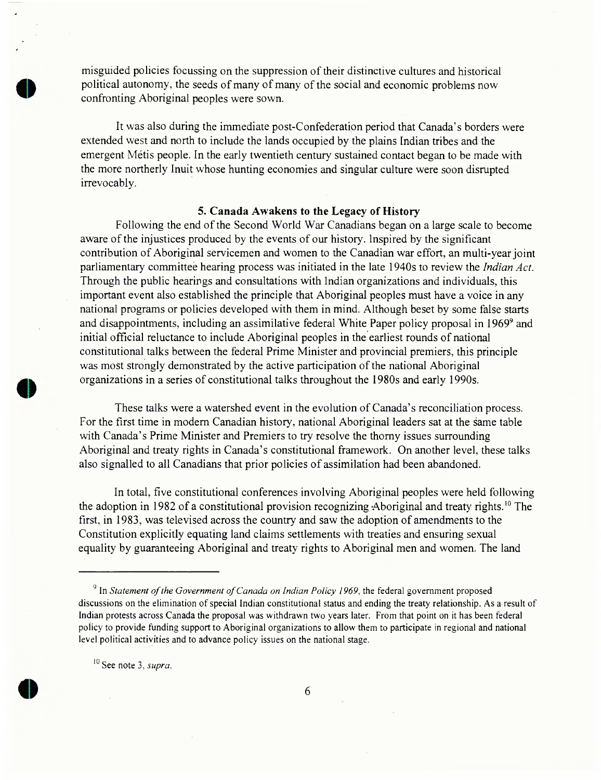misguided policies focussing on the suppression of their distinctive cultures and historical political autonomy, the seeds of many of many of the social and economic problems now confronting Aboriginal peoples were sown.

It was also during the immediate post-Confederation period that Canada's borders were extended west and north to include the lands occupied by the plains Indian tribes and the emergent Métis people. In the early twentieth century sustained contact began to be made with the more northerly Inuit whose hunting economies and singular culture were soon disrupted irrevocably.

#### **5. Canada Awakens to the Legacy of History**

Following the end ofthe Second World War Canadians began on a large scale to become aware of the injustices produced by the events of our history. Inspired by the significant contribution of Aboriginal servicemen and women to the Canadian war effort, an multi-year joint parliamentary committee hearing process was initiated in the late 1940s to review the *Indian Act.* Through the public hearings and consultations with Indian organizations and individuals, this important event also established the principle that Aboriginal peoples must have a voice in any national programs or policies developed with them in mind. Although beset by some false starts and disappointments, including an assimilative federal White Paper policy proposal in 1969<sup>9</sup> and initial official reluctance to include Aboriginal peoples in the earliest rounds of national constitutional talks between the federal Prime Minister and provincial premiers, this principle was most strongly demonstrated by the active participation of the national Aboriginal organizations in a series of constitutional talks throughout the 1980s and early 1990s.

These talks were a watershed event in the evolution of Canada's reconciliation process. For the first time in modem Canadian history, national Aboriginal leaders sat at the same table with Canada's Prime Minister and Premiers to try resolve the thorny issues surrounding Aboriginal and treaty rights in Canada's constitutional framework. On another level, these talks also signalled to all Canadians that prior policies of assimilation had been abandoned.

In total, five constitutional conferences involving Aboriginal peoples were held following the adoption in 1982 of a constitutional provision recognizing Aboriginal and treaty rights.<sup>10</sup> The first, in 1983, was televised across the country and saw the adoption of amendments to the Constitution explicitly equating land claims settlements with treaties and ensuring sexual equality by guaranteeing Aboriginal and treaty rights to Aboriginal men and women. The land

<sup>10</sup> See note 3, *supra.*



<sup>9</sup> In *Statement ofthe Government ofCanada on Indian Policy 1969,* the federal government proposed discussions on the elimination of special Indian constitutional status and ending the treaty relationship. As a result of Indian protests across Canada the proposal was withdrawn two years later. From that point on it has been federal policy to provide funding support to Aboriginal organizations to allow them to participate in regional and national level political activities and to advance policy issues on the national stage.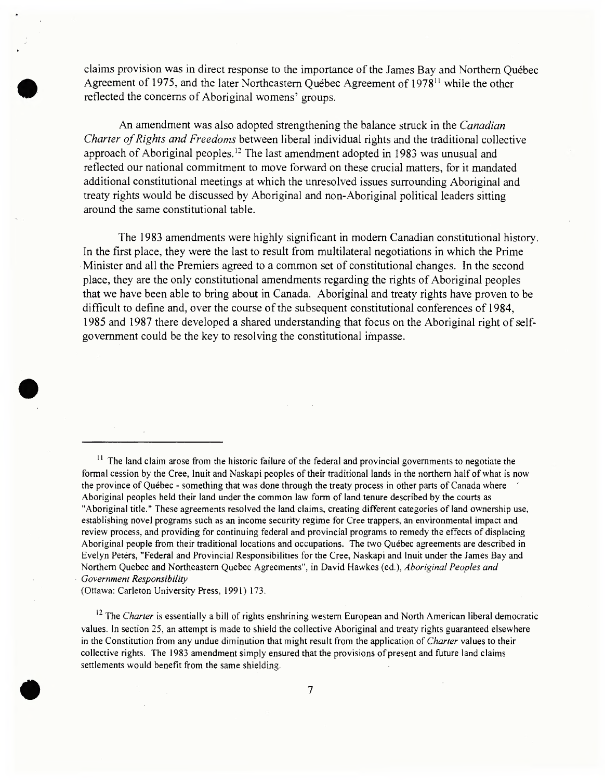claims provision was in direct response to the importance of the James Bay and Northern Ouébec Agreement of 1975, and the later Northeastern Québec Agreement of 1978" while the other reflected the concerns of Aboriginal womens' groups.

An amendment was also adopted strengthening the balance struck in the *Canadian Charter of Rights and Freedoms* between liberal individual rights and the traditional collective approach of Aboriginal peoples.<sup>12</sup> The last amendment adopted in 1983 was unusual and reflected our national commitment to move forward on these crucial matters, for it mandated additional constitutional meetings at which the unresolved issues surrounding Aboriginal and treaty rights would be discussed by Aboriginal and non-Aboriginal political leaders sitting around the same constitutional table.

The 1983 amendments were highly significant in modem Canadian constitutional history. In the first place, they were the last to result from multilateral negotiations in which the Prime Minister and all the Premiers agreed to a common set of constitutional changes. In the second place, they are the only constitutional amendments regarding the rights of Aboriginal peoples that we have been able to bring about in Canada. Aboriginal and treaty rights have proven to be difficult to define and, over the course of the subsequent constitutional conferences of 1984, 1985 and 1987 there developed a shared understanding that focus on the Aboriginal right ofselfgovernment could be the key to resolving the constitutional impasse.

 $11$  The land claim arose from the historic failure of the federal and provincial governments to negotiate the formal cession by the Cree, Inuit and Naskapi peoples of their traditional lands in the northern half of what is now the province of Québec - something that was done through the treaty process in other parts of Canada where Aboriginal peoples held their land under the common law form of land tenure described by the courts as "Aboriginal title." These agreements resolved the land claims, creating different categories of land ownership use, establishing novel programs such as an income security regime for Cree trappers, an environmental impact and review process, and providing for continuing federal and provincial programs to remedy the effects of displacing Aboriginal people from their traditional locations and occupations. The two Québec agreements are described in Evelyn Peters, "Federal and Provincial Responsibilities for the Cree, Naskapi and Inuit under the James Bay and Northern Quebec and Northeastern Quebec Agreements", in David Hawkes (ed.), *Aboriginal Peoples and Government Responsibility*

(Ottawa: Carleton University Press, 1991) 173.

<sup>12</sup> The *Charter* is essentially a bill of rights enshrining western European and North American liberal democratic values. In section 25, an attempt is made to shield the collective Aboriginal and treaty rights guaranteed elsewhere in the Constitution from any undue diminution that might result from the application of *Charter* values to their collective rights. The 1983 amendment simply ensured that the provisions of present and future land claims settlements would benefit from the same shielding.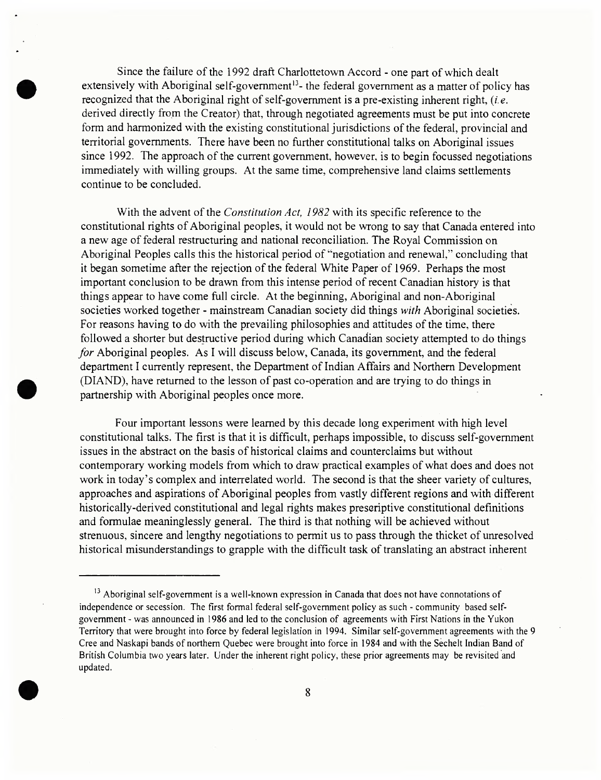Since the failure of the 1992 draft Charlottetown Accord - one part of which dealt extensively with Aboriginal self-government<sup>13</sup>- the federal government as a matter of policy has recognized that the Aboriginal right of self-government is a pre-existing inherent right,  $(i.e.$ derived directly from the Creator) that, through negotiated agreements must be put into concrete form and harmonized with the existing constitutional jurisdictions of the federal, provincial and territorial governments. There have been no further constitutional talks on Aboriginal issues since 1992. The approach of the current government, however, is to begin focussed negotiations immediately with willing groups. At the same time, comprehensive land claims settlements continue to be concluded.

With the advent of the *Constitution Act, 1982* with its specific reference to the constitutional rights of Aboriginal peoples, it would not be wrong to say that Canada entered into a new age of federal restructuring and national reconciliation. The Royal Commission on Aboriginal Peoples calls this the historical period of "negotiation and renewal," concluding that it began sometime after the rejection of the federal White Paper of 1969. Perhaps the most important conclusion to be drawn from this intense period of recent Canadian history is that things appear to have come full circle. At the beginning, Aboriginal and non-Aboriginal societies worked together - mainstream Canadian society did things *with* Aboriginal societies. For reasons having to do with the prevailing philosophies and attitudes of the time, there followed a shorter but destructive period during which Canadian society attempted to do things *for* Aboriginal peoples. As <sup>I</sup> will discuss below, Canada, its government, and the federal department <sup>I</sup> currently represent, the Department of Indian Affairs and Northern Development (DIAND), have returned to the lesson of past co-operation and are trying to do things in partnership with Aboriginal peoples once more.

Four important lessons were learned by this decade long experiment with high level constitutional talks. The first is that it is difficult, perhaps impossible, to discuss self-government issues in the abstract on the basis of historical claims and counterclaims but without contemporary working models from which to draw practical examples of what does and does not work in today's complex and interrelated world. The second is that the sheer variety of cultures, approaches and aspirations of Aboriginal peoples from vastly different regions and with different historically-derived constitutional and legal rights makes prescriptive constitutional definitions and formulae meaninglessly general. The third is that nothing will be achieved without strenuous, sincere and lengthy negotiations to permit us to pass through the thicket of unresolved historical misunderstandings to grapple with the difficult task of translating an abstract inherent

<sup>&</sup>lt;sup>13</sup> Aboriginal self-government is a well-known expression in Canada that does not have connotations of independence or secession. The first formal federal self-government policy as such - community based selfgovernment - was announced in 1986 and led to the conclusion of agreements with First Nations in the Yukon Territory that were brought into force by federal legislation in 1994. Similar self-government agreements with the 9 Cree and Naskapi bands of northern Quebec were brought into force in 1984 and with the Sechelt Indian Band of British Columbia two years later. Under the inherent right policy, these prior agreements may be revisited and updated.

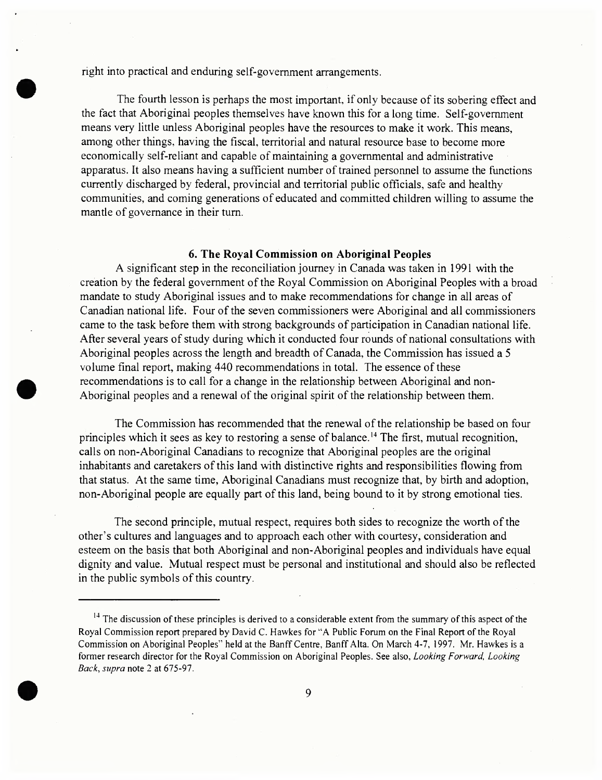right into practical and enduring self-government arrangements.

The fourth lesson is perhaps the most important, if only because of its sobering effect and the fact that Aboriginal peoples themselves have known this for a long time. Self-government means very little unless Aboriginal peoples have the resources to make it work. This means, among other things, having the fiscal, territorial and natural resource base to become more economically self-reliant and capable of maintaining a governmental and administrative apparatus. It also means having a sufficient number of trained personnel to assume the functions currently discharged by federal, provincial and territorial public officials, safe and healthy communities, and coming generations of educated and committed children willing to assume the mantle of governance in their turn.

### **6. The Royal Commission on Aboriginal Peoples**

A significant step in the reconciliation journey in Canada was taken in 1991 with the creation by the federal government of the Royal Commission on Aboriginal Peoples with a broad mandate to study Aboriginal issues and to make recommendations for change in all areas of Canadian national life. Four of the seven commissioners were Aboriginal and all commissioners came to the task before them with strong backgrounds of participation in Canadian national life. After several years of study during which it conducted four rounds of national consultations with Aboriginal peoples across the length and breadth of Canada, the Commission has issued a 5 volume final report, making 440 recommendations in total. The essence of these recommendations is to call for a change in the relationship between Aboriginal and non-Aboriginal peoples and a renewal of the original spirit of the relationship between them.

The Commission has recommended that the renewal of the relationship be based on four principles which it sees as key to restoring a sense of balance.<sup>14</sup> The first, mutual recognition, calls on non-Aboriginal Canadians to recognize that Aboriginal peoples are the original inhabitants and caretakers of this land with distinctive rights and responsibilities flowing from that status. At the same time, Aboriginal Canadians must recognize that, by birth and adoption, non-Aboriginal people are equally part of this land, being bound to it by strong emotional ties.

The second principle, mutual respect, requires both sides to recognize the worth of the other's cultures and languages and to approach each other with courtesy, consideration and esteem on the basis that both Aboriginal and non-Aboriginal peoples and individuals have equal dignity and value. Mutual respect must be personal and institutional and should also be reflected in the public symbols of this country.

<sup>&</sup>lt;sup>14</sup> The discussion of these principles is derived to a considerable extent from the summary of this aspect of the Royal Commission report prepared by David C. Hawkes for "A Public Forum on the Final Report of the Royal Commission on Aboriginal Peoples" held at the Banff Centre, Banff Alta. On March 4-7, 1997. Mr. Hawkes is a former research director for the Royal Commission on Aboriginal Peoples. See also, *Looking Forward, Looking Back, supra* note 2 at 675-97.

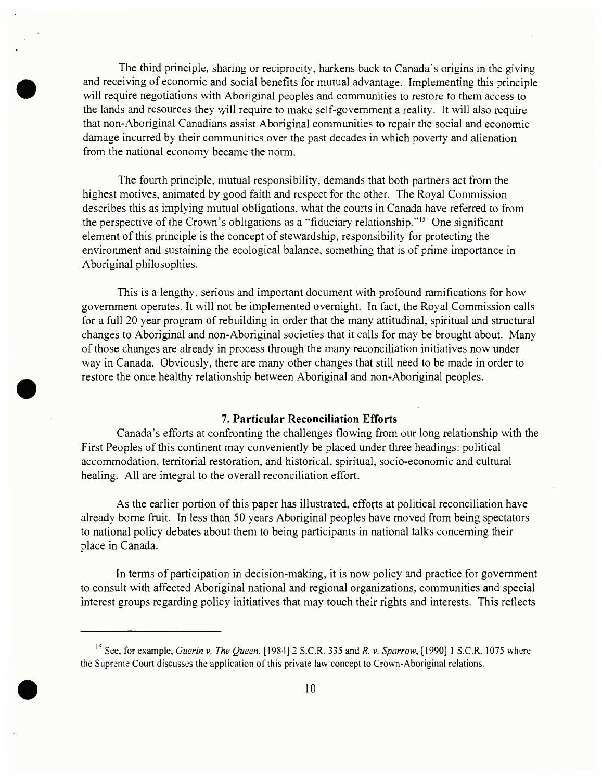The third principle, sharing or reciprocity, harkens back to Canada's origins in the giving and receiving of economic and social benefits for mutual advantage. Implementing this principle will require negotiations with Aboriginal peoples and communities to restore to them access to the lands and resources they vyill require to make self-government a reality. It will also require that non-Aboriginal Canadians assist Aboriginal communities to repair the social and economic damage incurred by their communities over the past decades in which poverty and alienation from the national economy became the norm.

The fourth principle, mutual responsibility, demands that both partners act from the highest motives, animated by good faith and respect for the other. The Royal Commission describes this as implying mutual obligations, what the courts in Canada have referred to from the perspective of the Crown's obligations as a "fiduciary relationship."<sup>15</sup> One significant element of this principle is the concept of stewardship, responsibility for protecting the environment and sustaining the ecological balance, something that is of prime importance in Aboriginal philosophies.

This is a lengthy, serious and important document with profound ramifications for how government operates. It will not be implemented overnight. In fact, the Royal Commission calls for a full 20 year program of rebuilding in order that the many attitudinal, spiritual and structural changes to Aboriginal and non-Aboriginal societies that it calls for may be brought about. Many ofthose changes are already in process through the many reconciliation initiatives now under way in Canada. Obviously, there are many other changes that still need to be made in order to restore the once healthy relationship between Aboriginal and non-Aboriginal peoples.

## **7. Particular Reconciliation Efforts**

Canada's efforts at confronting the challenges flowing from our long relationship with the First Peoples of this continent may conveniently be placed under three headings: political accommodation, territorial restoration, and historical, spiritual, socio-economic and cultural healing. All are integral to the overall reconciliation effort.

As the earlier portion of this paper has illustrated, efforts at political reconciliation have already borne fruit. In less than 50 years Aboriginal peoples have moved from being spectators to national policy debates about them to being participants in national talks concerning their place in Canada.

In terms of participation in decision-making, it is now policy and practice for government to consult with affected Aboriginal national and regional organizations, communities and special interest groups regarding policy initiatives that may touch their rights and interests. This reflects



<sup>15</sup> See, for example, *Guerin* v. *The Queen*, [1984] 2 S.C.R. 335 and *R.* v. *Sparrow,* [1990] <sup>1</sup> S.C.R. 1075 where the Supreme Court discusses the application of this private law concept to Crown-Aboriginal relations.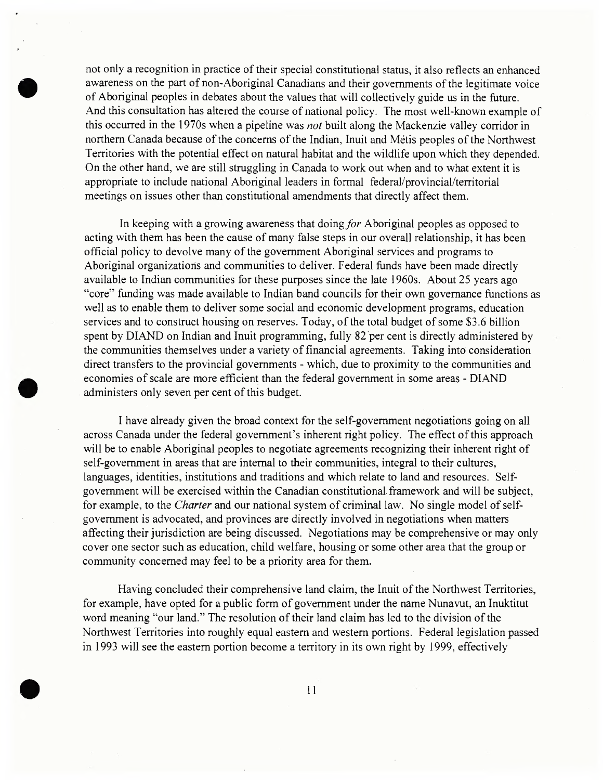not only a recognition in practice of their special constitutional status, it also reflects an enhanced awareness on the part of non-Aboriginal Canadians and their governments of the legitimate voice of Aboriginal peoples in debates about the values that will collectively guide us in the future. And this consultation has altered the course of national policy. The most well-known example of this occurred in the 1970s when a pipeline was *not* built along the Mackenzie valley corridor in northern Canada because of the concerns of the Indian, Inuit and Métis peoples of the Northwest Territories with the potential effect on natural habitat and the wildlife upon which they depended. On the other hand, we are still struggling in Canada to work out when and to what extent it is appropriate to include national Aboriginal leaders in formal federal/provincial/territorial meetings on issues other than constitutional amendments that directly affect them.

In keeping with a growing awareness that doing*for* Aboriginal peoples as opposed to acting with them has been the cause of many false steps in our overall relationship, it has been official policy to devolve many of the government Aboriginal services and programs to Aboriginal organizations and communities to deliver. Federal funds have been made directly available to Indian communities for these purposes since the late 1960s. About 25 years ago "core" funding was made available to Indian band councils for their own governance functions as well as to enable them to deliver some social and economic development programs, education services and to construct housing on reserves. Today, of the total budget of some \$3.6 billion spent by DIAND on Indian and Inuit programming, fully 82 per cent is directly administered by the communities themselves under a variety of financial agreements. Taking into consideration direct transfers to the provincial governments - which, due to proximity to the communities and economies of scale are more efficient than the federal government in some areas - DIAND administers only seven per cent of this budget.

I have already given the broad context for the self-government negotiations going on all across Canada under the federal government's inherent right policy. The effect of this approach will be to enable Aboriginal peoples to negotiate agreements recognizing their inherent right of self-government in areas that are internal to their communities, integral to their cultures, languages, identities, institutions and traditions and which relate to land and resources. Selfgovernment will be exercised within the Canadian constitutional framework and will be subject, for example, to the *Charter* and our national system of criminal law. No single model of selfgovernment is advocated, and provinces are directly involved in negotiations when matters affecting their jurisdiction are being discussed. Negotiations may be comprehensive or may only cover one sector such as education, child welfare, housing or some other area that the group or community concerned may feel to be a priority area for them.

Having concluded their comprehensive land claim, the Inuit of the Northwest Territories, for example, have opted for a public form of government under the name Nunavut, an Inuktitut word meaning "our land." The resolution of their land claim has led to the division of the Northwest Territories into roughly equal eastern and western portions. Federal legislation passed in 1993 will see the eastern portion become a territory in its own right by 1999, effectively

**11**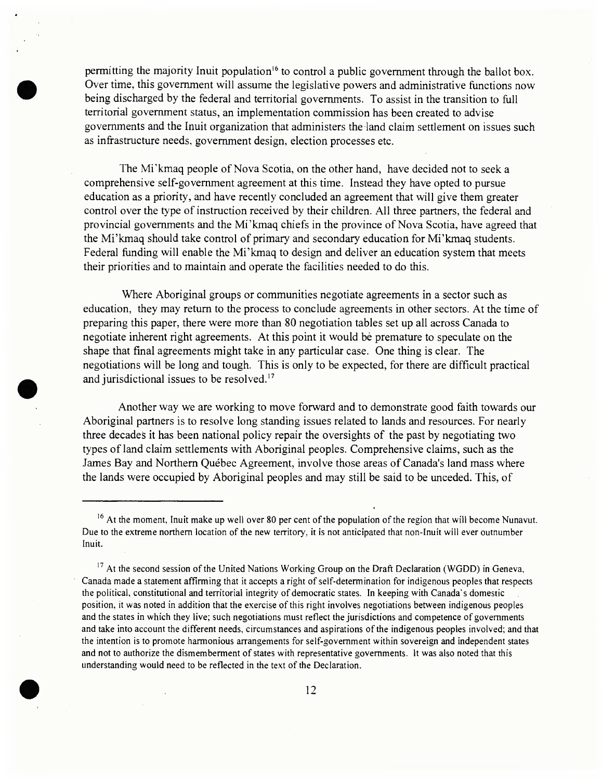permitting the majority Inuit population<sup>16</sup> to control a public government through the ballot box. Over time, this government will assume the legislative powers and administrative functions now being discharged by the federal and territorial governments. To assist in the transition to full territorial government status, an implementation commission has been created to advise governments and the Inuit organization that administers the land claim settlement on issues such as infrastructure needs, government design, election processes etc.

The Mi'kmaq people of Nova Scotia, on the other hand, have decided not to seek a comprehensive self-government agreement at this time. Instead they have opted to pursue education as a priority, and have recently concluded an agreement that will give them greater control over the type of instruction received by their children. All three partners, the federal and provincial governments and the Mi'kmaq chiefs in the province of Nova Scotia, have agreed that the Mi'kmaq should take control of primary and secondary education for Mi'kmaq students. Federal funding will enable the Mi'kmaq to design and deliver an education system that meets their priorities and to maintain and operate the facilities needed to do this.

Where Aboriginal groups or communities negotiate agreements in a sector such as education, they may return to the process to conclude agreements in other sectors. At the time of preparing this paper, there were more than 80 negotiation tables set up all across Canada to negotiate inherent right agreements. At this point it would be premature to speculate on the shape that final agreements might take in any particular case. One thing is clear. The negotiations will be long and tough. This is only to be expected, for there are difficult practical and jurisdictional issues to be resolved.<sup>17</sup>

Another way we are working to move forward and to demonstrate good faith towards our Aboriginal partners is to resolve long standing issues related to lands and resources. For nearly three decades it has been national policy repair the oversights of the past by negotiating two types of land claim settlements with Aboriginal peoples. Comprehensive claims, such as the James Bay and Northern Québec Agreement, involve those areas of Canada's land mass where the lands were occupied by Aboriginal peoples and may still be said to be unceded. This, of

 $17$  At the second session of the United Nations Working Group on the Draft Declaration (WGDD) in Geneva, Canada made a statement affirming that it accepts a right of self-determination for indigenous peoples that respects the political, constitutional and territorial integrity of democratic states. In keeping with Canada's domestic position, it was noted in addition that the exercise of this right involves negotiations between indigenous peoples and the states in which they live; such negotiations must reflect the jurisdictions and competence of governments and take into account the different needs, circumstances and aspirations ofthe indigenous peoples involved; and that the intention is to promote harmonious arrangements for self-government within sovereign and independent states and not to authorize the dismemberment of states with representative governments. It was also noted that this understanding would need to be reflected in the text of the Declaration.



<sup>&</sup>lt;sup>16</sup> At the moment, Inuit make up well over 80 per cent of the population of the region that will become Nunavut. Due to the extreme northern location of the new territory, it is not anticipated that non-Inuit will ever outnumber Inuit.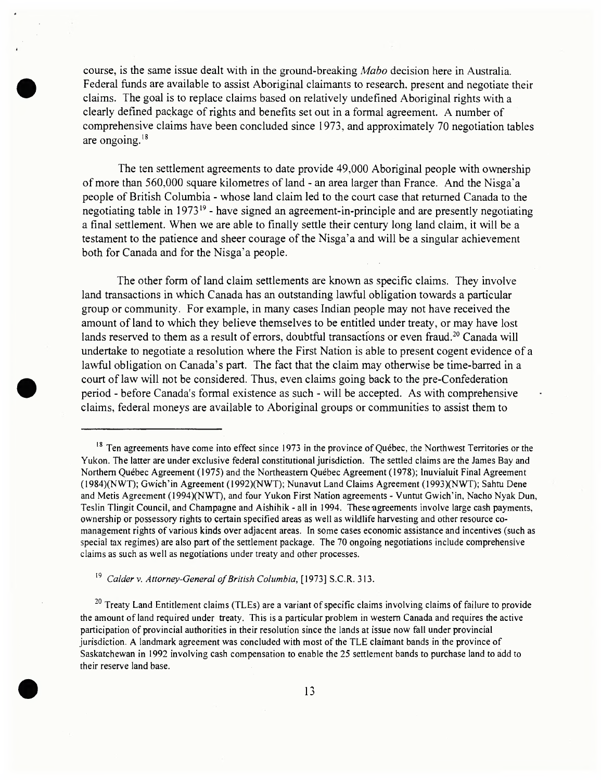course, is the same issue dealt with in the ground-breaking *Mabo* decision here in Australia. Federal funds are available to assist Aboriginal claimants to research, present and negotiate their claims. The goal is to replace claims based on relatively undefined Aboriginal rights with a clearly defined package ofrights and benefits set out in a formal agreement. A number of comprehensive claims have been concluded since 1973, and approximately 70 negotiation tables course, is the same issue dealt with in the ground-breaking *Mabo* decision here in AFederal funds are available to assist Aboriginal claimants to research, present and neclaims. The goal is to replace claims based on rela

The ten settlement agreements to date provide 49,000 Aboriginal people with ownership of more than 560,000 square kilometres of land - an area larger than France. And the Nisga'a people of British Columbia - whose land claim led to the court case that returned Canada to the negotiating table in 1973<sup>19</sup> - have signed an agreement-in-principle and are presently negotiating a final settlement. When we are able to finally settle their century long land claim, it will be a testament to the patience and sheer courage of the Nisga'a and will be a singular achievement both for Canada and for the Nisga'a people.

The other form of land claim settlements are known as specific claims. They involve land transactions in which Canada has an outstanding lawful obligation towards a particular group or community. For example, in many cases Indian people may not have received the amount of land to which they believe themselves to be entitled under treaty, or may have lost lands reserved to them as a result of errors, doubtful transactions or even fraud.<sup>20</sup> Canada will undertake to negotiate a resolution where the First Nation is able to present cogent evidence of a lawful obligation on Canada's part. The fact that the claim may otherwise be time-barred in a court of law will not be considered. Thus, even claims going back to the pre-Confederation period - before Canada's formal existence as such - will be accepted. As with comprehensive claims, federal moneys are available to Aboriginal groups or communities to assist them to

<sup>19</sup> *Calder* v. *Attorney-General ofBritish Columbia*, [1973] S.C.R. 313.

<sup>20</sup> Treaty Land Entitlement claims (TLEs) are a variant of specific claims involving claims of failure to provide the amount of land required under treaty. This is a particular problem in western Canada and requires the active participation of provincial authorities in their resolution since the lands at issue now fall under provincial jurisdiction. A landmark agreement was concluded with most of the TLE claimant bands in the province of Saskatchewan in 1992 involving cash compensation to enable the 25 settlement bands to purchase land to add to their reserve land base.

<sup>&</sup>lt;sup>18</sup> Ten agreements have come into effect since 1973 in the province of Québec, the Northwest Territories or the Yukon. The latter are under exclusive federal constitutional jurisdiction. The settled claims are the James Bay and Northern Québec Agreement (1975) and the Northeastern Québec Agreement (1978); Inuvialuit Final Agreement (1984)(NWT); Gwich'in Agreement (1992)(NWT); Nunavut Land Claims Agreement (1993)(NWT); Sahtu Dene and Metis Agreement (1994)(NWT), and four Yukon First Nation agreements - Vuntut Gwich'in, Nacho Nyak Dun, Teslin Tlingit Council, and Champagne and Aishihik - all in 1994. These'agreements involve large cash payments, ownership or possessory rights to certain specified areas as well as wildlife harvesting and other resource comanagement rights of various kinds over adjacent areas. In some cases economic assistance and incentives (such as special tax regimes) are also part of the settlement package. The 70 ongoing negotiations include comprehensive claims as such as well as negotiations under treaty and other processes.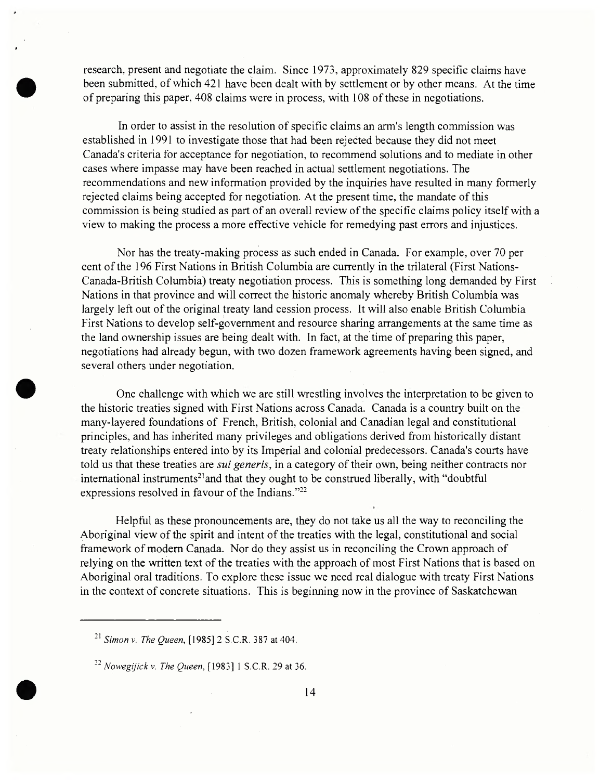research, present and negotiate the claim. Since 1973, approximately 829 specific claims have been submitted, of which 421 have been dealt with by settlement or by other means. At the time of preparing this paper, 408 claims were in process, with 108 of these in negotiations.

In order to assist in the resolution of specific claims an arm's length commission was established in 1991 to investigate those that had been rejected because they did not meet Canada's criteria for acceptance for negotiation, to recommend solutions and to mediate in other cases where impasse may have been reached in actual settlement negotiations. The recommendations and new information provided by the inquiries have resulted in many formerly rejected claims being accepted for negotiation. At the present time, the mandate of this commission is being studied as part of an overall review of the specific claims policy itself with a view to making the process a more effective vehicle for remedying past errors and injustices.

Nor has the treaty-making process as such ended in Canada. For example, over 70 per cent of the 196 First Nations in British Columbia are currently in the trilateral (First Nations-Canada-British Columbia) treaty negotiation process. This is something long demanded by First Nations in that province and will correct the historic anomaly whereby British Columbia was largely left out of the original treaty land cession process. It will also enable British Columbia First Nations to develop self-government and resource sharing arrangements at the same time as the land ownership issues are being dealt with. In fact, at the time of preparing this paper, negotiations had already begun, with two dozen framework agreements having been signed, and several others under negotiation.

One challenge with which we are still wrestling involves the interpretation to be given to the historic treaties signed with First Nations across Canada. Canada is a country built on the many-layered foundations of French, British, colonial and Canadian legal and constitutional principles, and has inherited many privileges and obligations derived from historically distant treaty relationships entered into by its Imperial and colonial predecessors. Canada's courts have told us that these treaties are *sui generis*, in a category of their own, being neither contracts nor inte<mark>rn</mark>ational instruments<sup>21</sup>and that they ought to be construed liberally, with "doubtful expressions resolved in favour of the Indians."<sup>22</sup>

Helpful as these pronouncements are, they do not take us all the way to reconciling the Aboriginal view of the spirit and intent of the treaties with the legal, constitutional and social framework of modern Canada. Nor do they assist us in reconciling the Crown approach of relying on the written text of the treaties with the approach of most First Nations that is based on Aboriginal oral traditions. To explore these issue we need real dialogue with treaty First Nations in the context of concrete situations. This is beginning now in the province of Saskatchewan

<sup>21</sup> *Simon v. The Queen*, [1985] 2 S.C.R. 387 at 404.

<sup>22</sup> *Nowegijick* v. *The Queen*, [1983] <sup>1</sup> S.C.R. 29 at 36.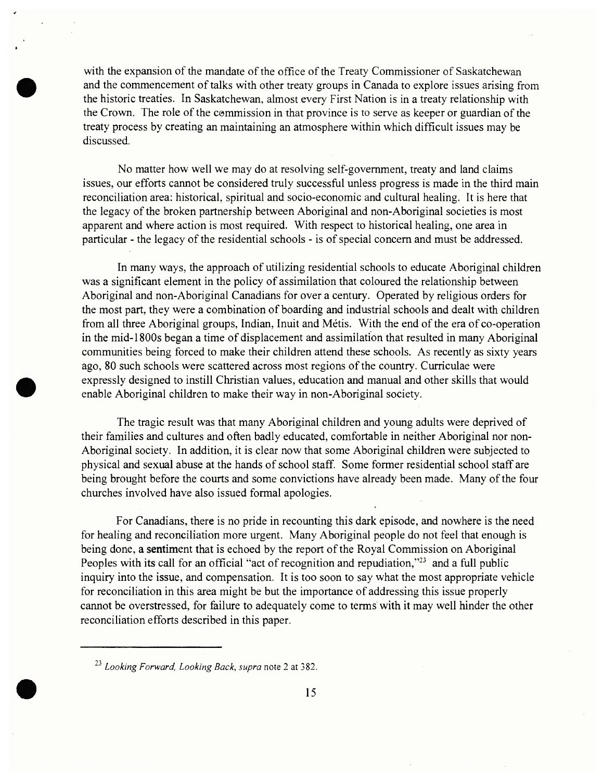with the expansion of the mandate of the office of the Treaty Commissioner of Saskatchewan and the commencement of talks with other treaty groups in Canada to explore issues arising from the historic treaties. In Saskatchewan, almost every First Nation is in a treaty relationship with the Crown. The role of the commission in that province is to serve as keeper or guardian of the treaty process by creating an maintaining an atmosphere within which difficult issues may be discussed.

No matter how well we may do at resolving self-government, treaty and land claims issues, our efforts cannot be considered truly successful unless progress is made in the third main reconciliation area: historical, spiritual and socio-economic and cultural healing. It is here that the legacy of the broken partnership between Aboriginal and non-Aboriginal societies is most apparent and where action is most required. With respect to historical healing, one area in particular - the legacy of the residential schools - is of special concern and must be addressed.

In many ways, the approach of utilizing residential schools to educate Aboriginal children was a significant element in the policy of assimilation that coloured the relationship between Aboriginal and non-Aboriginal Canadians for over a century. Operated by religious orders for the most part, they were a combination of boarding and industrial schools and dealt with children from all three Aboriginal groups, Indian, Inuit and Métis. With the end of the era of co-operation in the mid-1800s began a time of displacement and assimilation that resulted in many Aboriginal communities being forced to make their children attend these schools. As recently as sixty years ago, 80 such schools were scattered across most regions of the country. Curriculae were expressly designed to instill Christian values, education and manual and other skills that would enable Aboriginal children to make their way in non-Aboriginal society.

The tragic result was that many Aboriginal children and young adults were deprived of their families and cultures and often badly educated, comfortable in neither Aboriginal nor non-Aboriginal society. In addition, it is clear now that some Aboriginal children were subjected to physical and sexual abuse at the hands of school staff. Some former residential school staff are being brought before the courts and some convictions have already been made. Many of the four churches involved have also issued formal apologies.

For Canadians, there is no pride in recounting this dark episode, and nowhere is the need for healing and reconciliation more urgent. Many Aboriginal people do not feel that enough is being done, a sentiment that is echoed by the report of the Royal Commission on Aboriginal Peoples with its call for an official "act of recognition and repudiation,"<sup>23</sup> and a full public inquiry into the issue, and compensation. It is too soon to say what the most appropriate vehicle for reconciliation in this area might be but the importance of addressing this issue properly cannot be overstressed, for failure to adequately come to terms with it may well hinder the other reconciliation efforts described in this paper.

<sup>2</sup>j *Looking Forward, Looking Back*, *supra* note <sup>2</sup> at 382.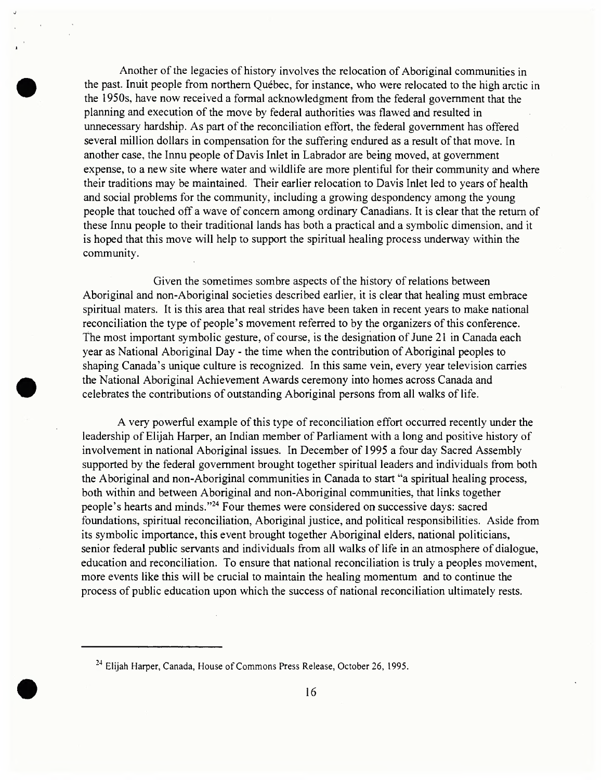Another of the legacies of history involves the relocation of Aboriginal communities in the past. Inuit people from northern Québec, for instance, who were relocated to the high arctic in the 1950s, have now received a formal acknowledgment from the federal government that the planning and execution of the move by federal authorities was flawed and resulted in unnecessary hardship. As part of the reconciliation effort, the federal government has offered several million dollars in compensation for the suffering endured as a result of that move. In another case, the Innu people of Davis Inlet in Labrador are being moved, at government expense, to a new site where water and wildlife are more plentiful for their community and where their traditions may be maintained. Their earlier relocation to Davis Inlet led to years of health and social problems for the community, including a growing despondency among the young people that touched off a wave of concern among ordinary Canadians. It is clear that the return of these Innu people to their traditional lands has both a practical and a symbolic dimension, and it is hoped that this move will help to support the spiritual healing process underway within the community.

Given the sometimes sombre aspects of the history of relations between Aboriginal and non-Aboriginal societies described earlier, it is clear that healing must embrace spiritual maters. It is this area that real strides have been taken in recent years to make national reconciliation the type of people's movement referred to by the organizers of this conference. The most important symbolic gesture, of course, is the designation of June 21 in Canada each year as National Aboriginal Day - the time when the contribution of Aboriginal peoples to shaping Canada's unique culture is recognized. In this same vein, every year television carries the National Aboriginal Achievement Awards ceremony into homes across Canada and celebrates the contributions of outstanding Aboriginal persons from all walks of life.

A very powerful example of this type of reconciliation effort occurred recently under the leadership of Elijah Harper, an Indian member of Parliament with a long and positive history of involvement in national Aboriginal issues. In December of 1995 a four day Sacred Assembly supported by the federal government brought together spiritual leaders and individuals from both the Aboriginal and non-Aboriginal communities in Canada to start "a spiritual healing process, both within and between Aboriginal and non-Aboriginal communities, that links together people's hearts and minds."<sup>24</sup> Four themes were considered on successive days: sacred foundations, spiritual reconciliation, Aboriginal justice, and political responsibilities. Aside from its symbolic importance, this event brought together Aboriginal elders, national politicians, senior federal public servants and individuals from all walks of life in an atmosphere of dialogue, education and reconciliation. To ensure that national reconciliation is truly a peoples movement, more events like this will be crucial to maintain the healing momentum and to continue the process of public education upon which the success of national reconciliation ultimately rests.

<sup>&</sup>lt;sup>24</sup> Elijah Harper, Canada, House of Commons Press Release, October 26, 1995.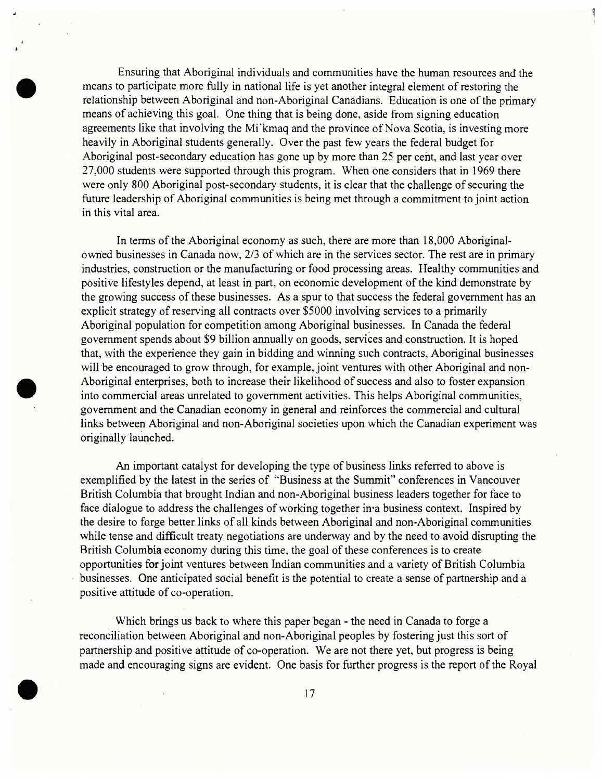Ensuring that Aboriginal individuals and communities have the human resources and the means to participate more fully in national life is yet another integral element of restoring the relationship between Aboriginal and non-Aboriginal Canadians. Education is one of the primary means of achieving this goal. One thing that is being done, aside from signing education agreements like that involving the Mi'kmaq and the province of Nova Scotia, is investing more heavily in Aboriginal students generally. Over the past few years the federal budget for Aboriginal post-secondary education has gone up by more than 25 per cent, and last year over 27,000 students were supported through this program. When one considers that in 1969 there were only 800 Aboriginal post-secondary students, it is clear that the challenge of securing the future leadership of Aboriginal communities is being met through a commitment to joint action in this vital area.

In terms of the Aboriginal economy as such, there are more than 18,000 Aboriginalowned businesses in Canada now, 2/3 of which are in the services sector. The rest are in primary industries, construction or the manufacturing or food processing areas. Healthy communities and positive lifestyles depend, at least in part, on economic development of the kind demonstrate by the growing success of these businesses. As a spur to that success the federal government has an explicit strategy of reserving all contracts over \$5000 involving services to a primarily Aboriginal population for competition among Aboriginal businesses. In Canada the federal government spends about \$9 billion annually on goods, services and construction. It is hoped that, with the experience they gain in bidding and winning such contracts, Aboriginal businesses will be encouraged to grow through, for example, joint ventures with other Aboriginal and non-Aboriginal enterprises, both to increase their likelihood of success and also to foster expansion into commercial areas unrelated to government activities. This helps Aboriginal communities, government and the Canadian economy in general and reinforces the commercial and cultural links between Aboriginal and non-Aboriginal societies upon which the Canadian experiment was originally launched.

An important catalyst for developing the type of business links referred to above is exemplified by the latest in the series of "Business at the Summit" conferences in Vancouver British Columbia that brought Indian and non-Aboriginal business leaders together for face to face dialogue to address the challenges of working together in a business context. Inspired by the desire to forge better links of all kinds between Aboriginal and non-Aboriginal communities while tense and difficult treaty negotiations are underway and by the need to avoid disrupting the British Columbia economy during this time, the goal of these conferences is to create opportunities for joint ventures between Indian communities and a variety of British Columbia businesses. One anticipated social benefit is the potential to create a sense of partnership and a positive attitude of co-operation.

Which brings us back to where this paper began - the need in Canada to forge a reconciliation between Aboriginal and non-Aboriginal peoples by fostering just this sort of partnership and positive attitude of co-operation. We are not there yet, but progress is being made and encouraging signs are evident. One basis for further progress is the report of the Royal